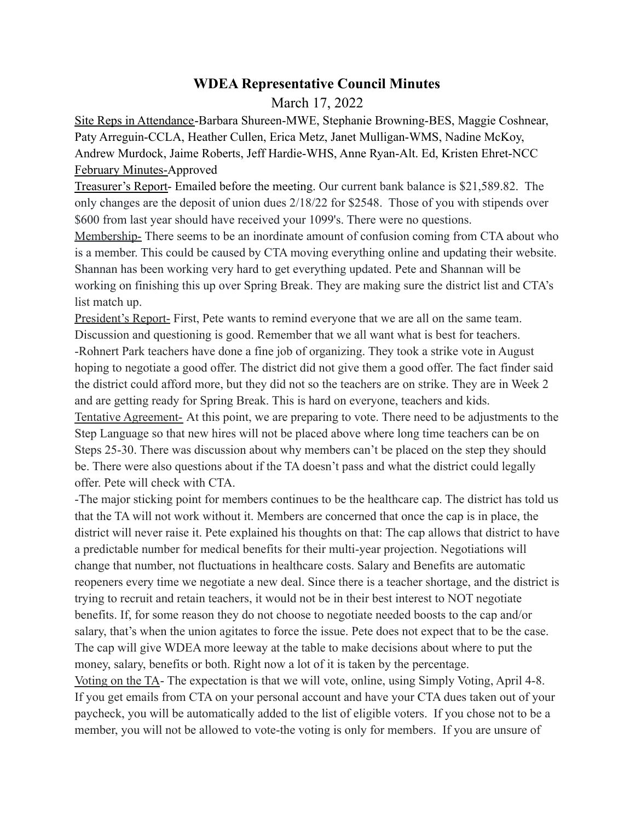## **WDEA Representative Council Minutes**

## March 17, 2022

Site Reps in Attendance-Barbara Shureen-MWE, Stephanie Browning-BES, Maggie Coshnear, Paty Arreguin-CCLA, Heather Cullen, Erica Metz, Janet Mulligan-WMS, Nadine McKoy, Andrew Murdock, Jaime Roberts, Jeff Hardie-WHS, Anne Ryan-Alt. Ed, Kristen Ehret-NCC February Minutes-Approved

Treasurer's Report- Emailed before the meeting. Our current bank balance is \$21,589.82. The only changes are the deposit of union dues 2/18/22 for \$2548. Those of you with stipends over \$600 from last year should have received your 1099's. There were no questions.

Membership- There seems to be an inordinate amount of confusion coming from CTA about who is a member. This could be caused by CTA moving everything online and updating their website. Shannan has been working very hard to get everything updated. Pete and Shannan will be working on finishing this up over Spring Break. They are making sure the district list and CTA's list match up.

President's Report- First, Pete wants to remind everyone that we are all on the same team. Discussion and questioning is good. Remember that we all want what is best for teachers. -Rohnert Park teachers have done a fine job of organizing. They took a strike vote in August hoping to negotiate a good offer. The district did not give them a good offer. The fact finder said the district could afford more, but they did not so the teachers are on strike. They are in Week 2 and are getting ready for Spring Break. This is hard on everyone, teachers and kids.

Tentative Agreement- At this point, we are preparing to vote. There need to be adjustments to the Step Language so that new hires will not be placed above where long time teachers can be on Steps 25-30. There was discussion about why members can't be placed on the step they should be. There were also questions about if the TA doesn't pass and what the district could legally offer. Pete will check with CTA.

-The major sticking point for members continues to be the healthcare cap. The district has told us that the TA will not work without it. Members are concerned that once the cap is in place, the district will never raise it. Pete explained his thoughts on that: The cap allows that district to have a predictable number for medical benefits for their multi-year projection. Negotiations will change that number, not fluctuations in healthcare costs. Salary and Benefits are automatic reopeners every time we negotiate a new deal. Since there is a teacher shortage, and the district is trying to recruit and retain teachers, it would not be in their best interest to NOT negotiate benefits. If, for some reason they do not choose to negotiate needed boosts to the cap and/or salary, that's when the union agitates to force the issue. Pete does not expect that to be the case. The cap will give WDEA more leeway at the table to make decisions about where to put the money, salary, benefits or both. Right now a lot of it is taken by the percentage. Voting on the TA- The expectation is that we will vote, online, using Simply Voting, April 4-8.

If you get emails from CTA on your personal account and have your CTA dues taken out of your paycheck, you will be automatically added to the list of eligible voters. If you chose not to be a member, you will not be allowed to vote-the voting is only for members. If you are unsure of